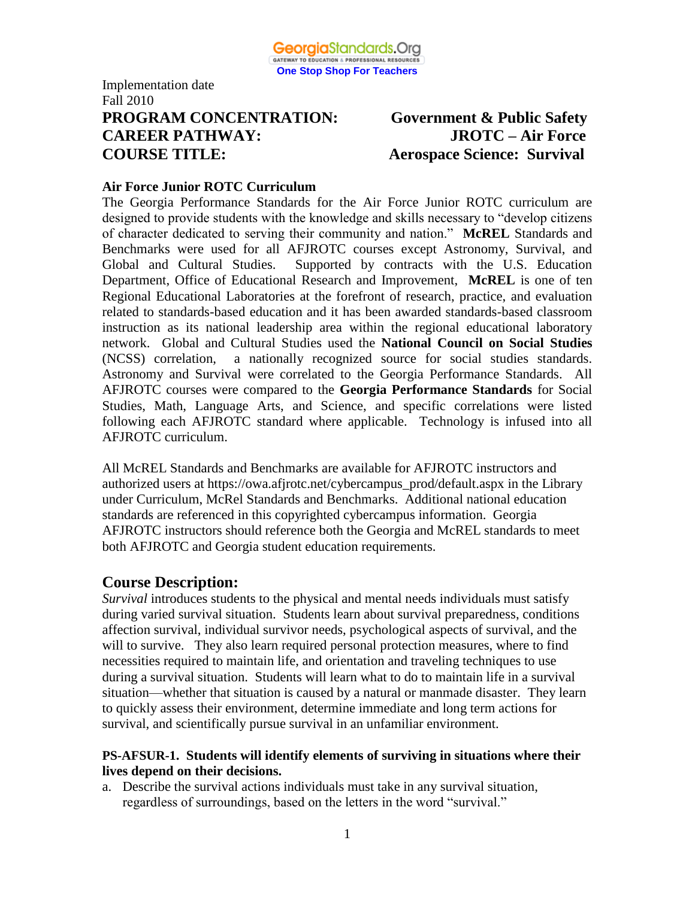

Implementation date Fall 2010 **PROGRAM CONCENTRATION: Government & Public Safety CAREER PATHWAY: JROTC – Air Force COURSE TITLE: Aerospace Science: Survival**

#### **Air Force Junior ROTC Curriculum**

The Georgia Performance Standards for the Air Force Junior ROTC curriculum are designed to provide students with the knowledge and skills necessary to "develop citizens of character dedicated to serving their community and nation." **McREL** Standards and Benchmarks were used for all AFJROTC courses except Astronomy, Survival, and Global and Cultural Studies. Supported by contracts with the U.S. Education Department, Office of Educational Research and Improvement, **McREL** is one of ten Regional Educational Laboratories at the forefront of research, practice, and evaluation related to standards-based education and it has been awarded standards-based classroom instruction as its national leadership area within the regional educational laboratory network. Global and Cultural Studies used the **National Council on Social Studies** (NCSS) correlation, a nationally recognized source for social studies standards. Astronomy and Survival were correlated to the Georgia Performance Standards. All AFJROTC courses were compared to the **Georgia Performance Standards** for Social Studies, Math, Language Arts, and Science, and specific correlations were listed following each AFJROTC standard where applicable. Technology is infused into all AFJROTC curriculum.

All McREL Standards and Benchmarks are available for AFJROTC instructors and authorized users at https://owa.afjrotc.net/cybercampus\_prod/default.aspx in the Library under Curriculum, McRel Standards and Benchmarks. Additional national education standards are referenced in this copyrighted cybercampus information. Georgia AFJROTC instructors should reference both the Georgia and McREL standards to meet both AFJROTC and Georgia student education requirements.

### **Course Description:**

*Survival* introduces students to the physical and mental needs individuals must satisfy during varied survival situation. Students learn about survival preparedness, conditions affection survival, individual survivor needs, psychological aspects of survival, and the will to survive. They also learn required personal protection measures, where to find necessities required to maintain life, and orientation and traveling techniques to use during a survival situation. Students will learn what to do to maintain life in a survival situation—whether that situation is caused by a natural or manmade disaster. They learn to quickly assess their environment, determine immediate and long term actions for survival, and scientifically pursue survival in an unfamiliar environment.

#### **PS-AFSUR-1. Students will identify elements of surviving in situations where their lives depend on their decisions.**

a. Describe the survival actions individuals must take in any survival situation, regardless of surroundings, based on the letters in the word "survival."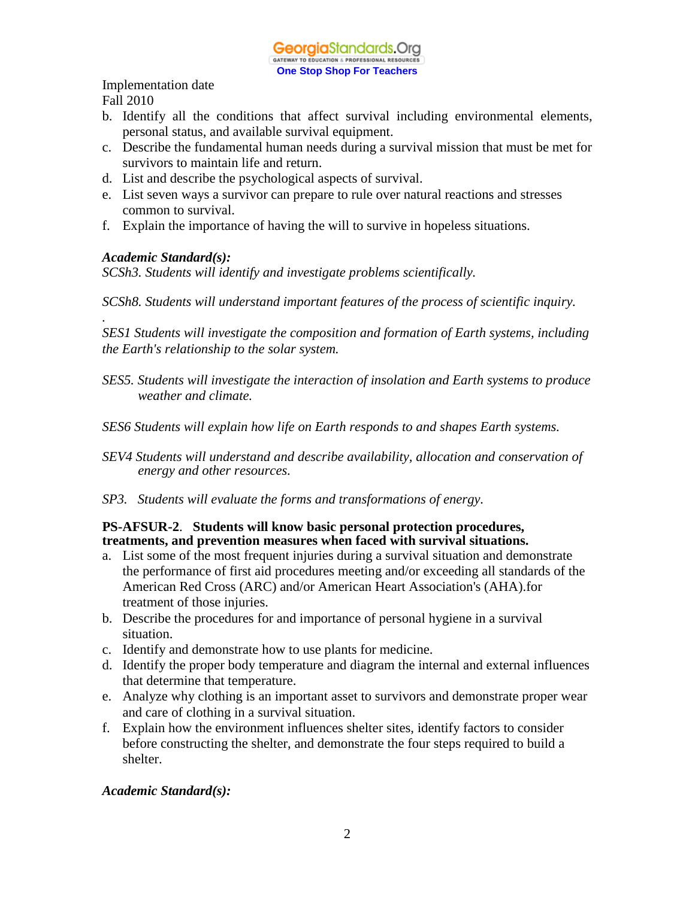- b. Identify all the conditions that affect survival including environmental elements, personal status, and available survival equipment.
- c. Describe the fundamental human needs during a survival mission that must be met for survivors to maintain life and return.
- d. List and describe the psychological aspects of survival.
- e. List seven ways a survivor can prepare to rule over natural reactions and stresses common to survival.
- f. Explain the importance of having the will to survive in hopeless situations.

#### *Academic Standard(s):*

*.* 

*SCSh3. Students will identify and investigate problems scientifically.* 

*SCSh8. Students will understand important features of the process of scientific inquiry.* 

*SES1 Students will investigate the composition and formation of Earth systems, including the Earth's relationship to the solar system.*

- *SES5. Students will investigate the interaction of insolation and Earth systems to produce weather and climate.*
- *SES6 Students will explain how life on Earth responds to and shapes Earth systems.*
- *SEV4 Students will understand and describe availability, allocation and conservation of energy and other resources.*
- *SP3. Students will evaluate the forms and transformations of energy.*

### **PS-AFSUR-2**. **Students will know basic personal protection procedures, treatments, and prevention measures when faced with survival situations.**

- a. List some of the most frequent injuries during a survival situation and demonstrate the performance of first aid procedures meeting and/or exceeding all standards of the American Red Cross (ARC) and/or American Heart Association's (AHA).for treatment of those injuries.
- b. Describe the procedures for and importance of personal hygiene in a survival situation.
- c. Identify and demonstrate how to use plants for medicine.
- d. Identify the proper body temperature and diagram the internal and external influences that determine that temperature.
- e. Analyze why clothing is an important asset to survivors and demonstrate proper wear and care of clothing in a survival situation.
- f. Explain how the environment influences shelter sites, identify factors to consider before constructing the shelter, and demonstrate the four steps required to build a shelter.

#### *Academic Standard(s):*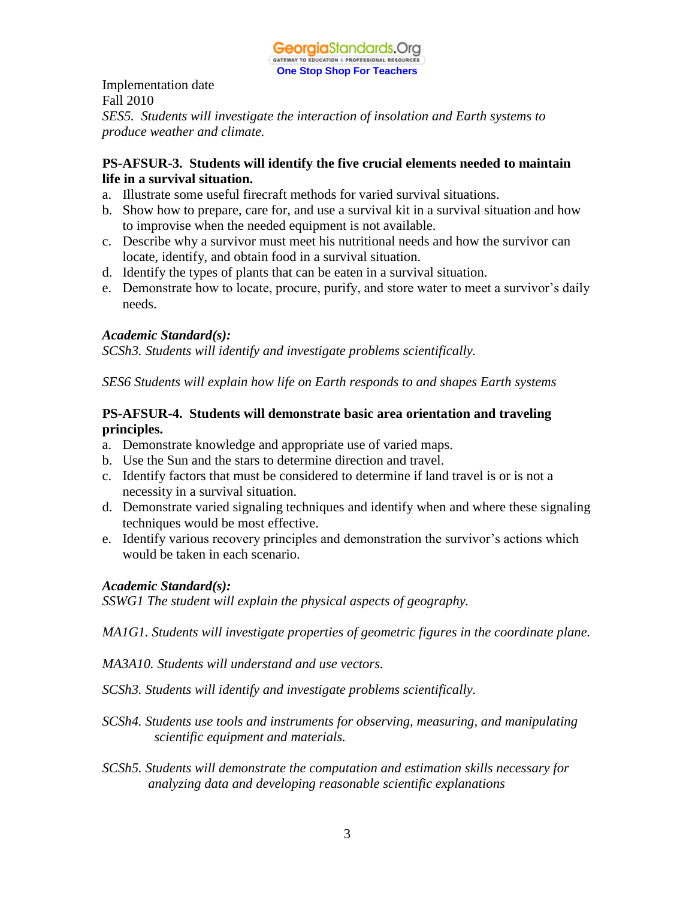

Implementation date Fall 2010 *SES5. Students will investigate the interaction of insolation and Earth systems to produce weather and climate.*

### **PS-AFSUR-3. Students will identify the five crucial elements needed to maintain life in a survival situation.**

- a. Illustrate some useful firecraft methods for varied survival situations.
- b. Show how to prepare, care for, and use a survival kit in a survival situation and how to improvise when the needed equipment is not available.
- c. Describe why a survivor must meet his nutritional needs and how the survivor can locate, identify, and obtain food in a survival situation.
- d. Identify the types of plants that can be eaten in a survival situation.
- e. Demonstrate how to locate, procure, purify, and store water to meet a survivor's daily needs.

#### *Academic Standard(s):*

*SCSh3. Students will identify and investigate problems scientifically.* 

*SES6 Students will explain how life on Earth responds to and shapes Earth systems*

#### **PS-AFSUR-4. Students will demonstrate basic area orientation and traveling principles.**

- a. Demonstrate knowledge and appropriate use of varied maps.
- b. Use the Sun and the stars to determine direction and travel.
- c. Identify factors that must be considered to determine if land travel is or is not a necessity in a survival situation.
- d. Demonstrate varied signaling techniques and identify when and where these signaling techniques would be most effective.
- e. Identify various recovery principles and demonstration the survivor's actions which would be taken in each scenario.

### *Academic Standard(s):*

*SSWG1 The student will explain the physical aspects of geography.*

*MA1G1. Students will investigate properties of geometric figures in the coordinate plane.*

*MA3A10. Students will understand and use vectors.*

- *SCSh3. Students will identify and investigate problems scientifically.*
- *SCSh4. Students use tools and instruments for observing, measuring, and manipulating scientific equipment and materials.*
- *SCSh5. Students will demonstrate the computation and estimation skills necessary for analyzing data and developing reasonable scientific explanations*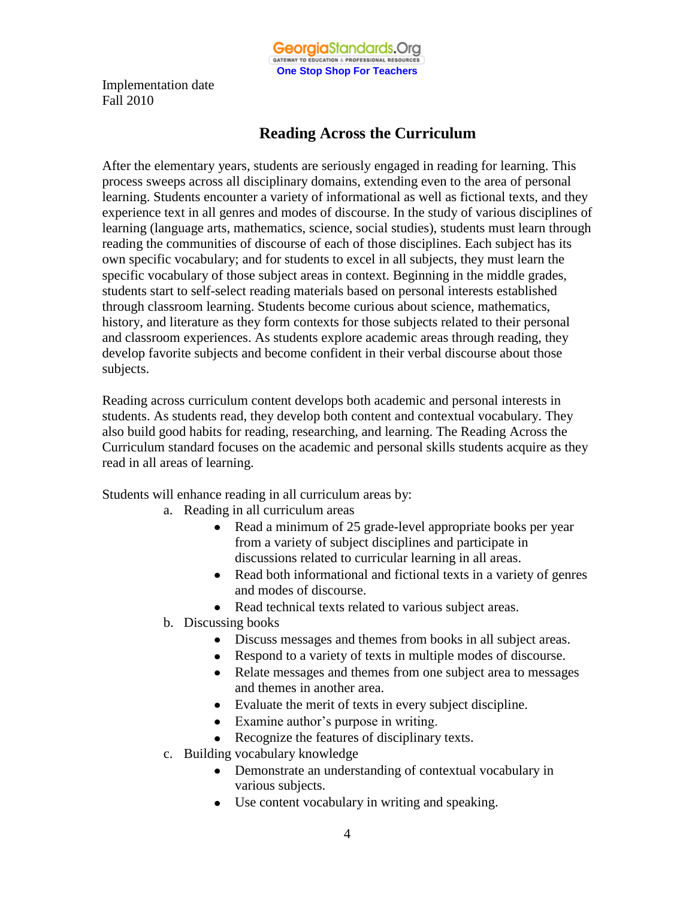

## **Reading Across the Curriculum**

After the elementary years, students are seriously engaged in reading for learning. This process sweeps across all disciplinary domains, extending even to the area of personal learning. Students encounter a variety of informational as well as fictional texts, and they experience text in all genres and modes of discourse. In the study of various disciplines of learning (language arts, mathematics, science, social studies), students must learn through reading the communities of discourse of each of those disciplines. Each subject has its own specific vocabulary; and for students to excel in all subjects, they must learn the specific vocabulary of those subject areas in context. Beginning in the middle grades, students start to self-select reading materials based on personal interests established through classroom learning. Students become curious about science, mathematics, history, and literature as they form contexts for those subjects related to their personal and classroom experiences. As students explore academic areas through reading, they develop favorite subjects and become confident in their verbal discourse about those subjects.

Reading across curriculum content develops both academic and personal interests in students. As students read, they develop both content and contextual vocabulary. They also build good habits for reading, researching, and learning. The Reading Across the Curriculum standard focuses on the academic and personal skills students acquire as they read in all areas of learning.

Students will enhance reading in all curriculum areas by:

- a. Reading in all curriculum areas
	- Read a minimum of 25 grade-level appropriate books per year from a variety of subject disciplines and participate in discussions related to curricular learning in all areas.
	- Read both informational and fictional texts in a variety of genres and modes of discourse.
	- Read technical texts related to various subject areas.
- b. Discussing books
	- Discuss messages and themes from books in all subject areas.
	- Respond to a variety of texts in multiple modes of discourse.
	- Relate messages and themes from one subject area to messages and themes in another area.
	- Evaluate the merit of texts in every subject discipline.
	- Examine author's purpose in writing.
	- Recognize the features of disciplinary texts.
- c. Building vocabulary knowledge
	- Demonstrate an understanding of contextual vocabulary in various subjects.
	- Use content vocabulary in writing and speaking.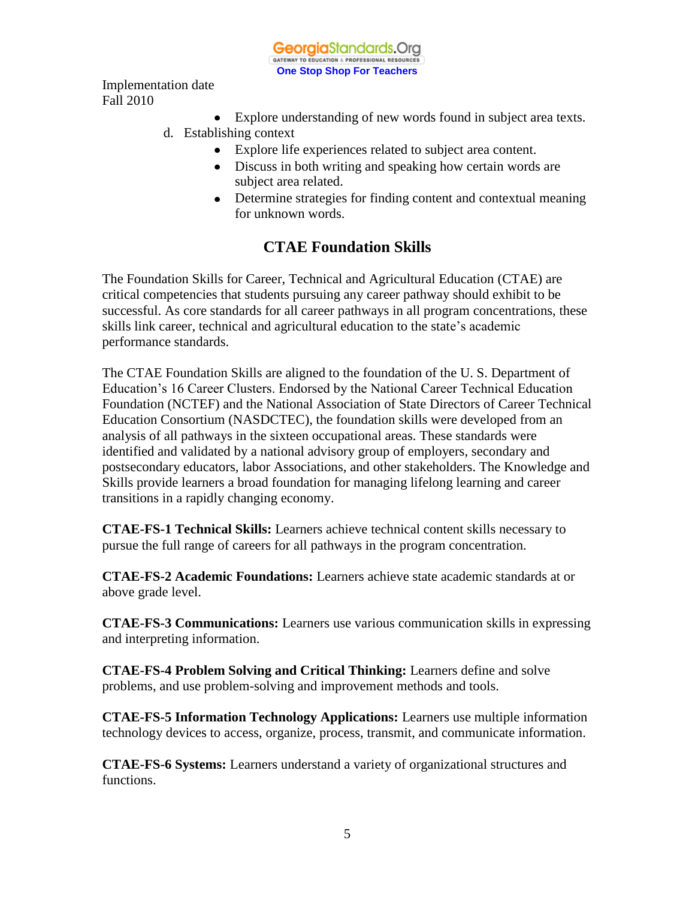GeorgiaStandards.Org GATEWAY TO EDUCATION & PROFESSIONAL RESOURCE **One Stop Shop For Teachers**

Implementation date Fall 2010

- Explore understanding of new words found in subject area texts.
- d. Establishing context
	- Explore life experiences related to subject area content.
	- Discuss in both writing and speaking how certain words are subject area related.
	- Determine strategies for finding content and contextual meaning for unknown words.

### **CTAE Foundation Skills**

The Foundation Skills for Career, Technical and Agricultural Education (CTAE) are critical competencies that students pursuing any career pathway should exhibit to be successful. As core standards for all career pathways in all program concentrations, these skills link career, technical and agricultural education to the state's academic performance standards.

The CTAE Foundation Skills are aligned to the foundation of the U. S. Department of Education's 16 Career Clusters. Endorsed by the National Career Technical Education Foundation (NCTEF) and the National Association of State Directors of Career Technical Education Consortium (NASDCTEC), the foundation skills were developed from an analysis of all pathways in the sixteen occupational areas. These standards were identified and validated by a national advisory group of employers, secondary and postsecondary educators, labor Associations, and other stakeholders. The Knowledge and Skills provide learners a broad foundation for managing lifelong learning and career transitions in a rapidly changing economy.

**CTAE-FS-1 Technical Skills:** Learners achieve technical content skills necessary to pursue the full range of careers for all pathways in the program concentration.

**CTAE-FS-2 Academic Foundations:** Learners achieve state academic standards at or above grade level.

**CTAE-FS-3 Communications:** Learners use various communication skills in expressing and interpreting information.

**CTAE-FS-4 Problem Solving and Critical Thinking:** Learners define and solve problems, and use problem-solving and improvement methods and tools.

**CTAE-FS-5 Information Technology Applications:** Learners use multiple information technology devices to access, organize, process, transmit, and communicate information.

**CTAE-FS-6 Systems:** Learners understand a variety of organizational structures and functions.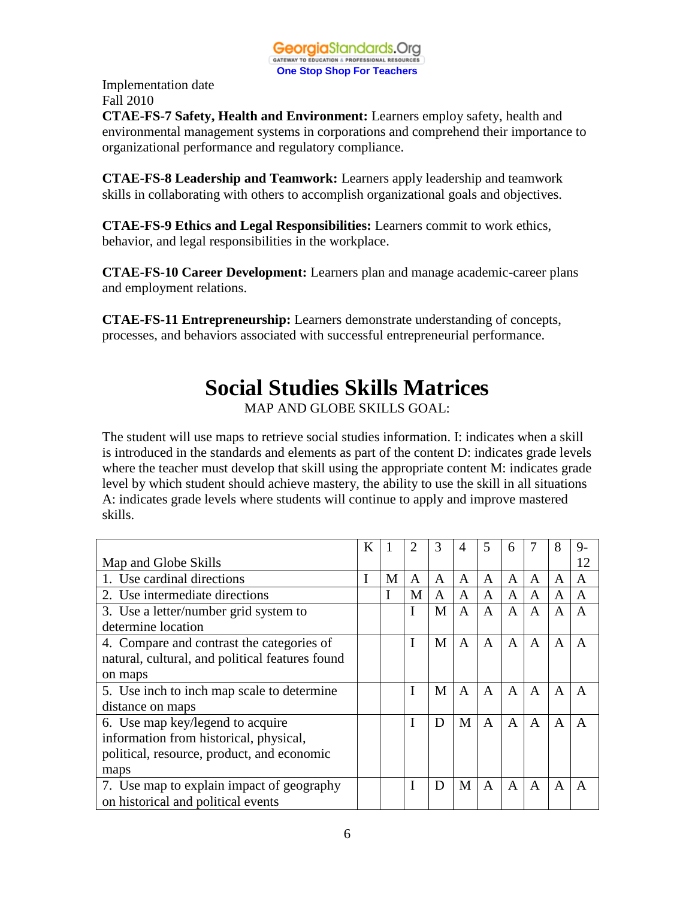

**CTAE-FS-7 Safety, Health and Environment:** Learners employ safety, health and environmental management systems in corporations and comprehend their importance to organizational performance and regulatory compliance.

**CTAE-FS-8 Leadership and Teamwork:** Learners apply leadership and teamwork skills in collaborating with others to accomplish organizational goals and objectives.

**CTAE-FS-9 Ethics and Legal Responsibilities:** Learners commit to work ethics, behavior, and legal responsibilities in the workplace.

**CTAE-FS-10 Career Development:** Learners plan and manage academic-career plans and employment relations.

**CTAE-FS-11 Entrepreneurship:** Learners demonstrate understanding of concepts, processes, and behaviors associated with successful entrepreneurial performance.

# **Social Studies Skills Matrices**

MAP AND GLOBE SKILLS GOAL:

The student will use maps to retrieve social studies information. I: indicates when a skill is introduced in the standards and elements as part of the content D: indicates grade levels where the teacher must develop that skill using the appropriate content M: indicates grade level by which student should achieve mastery, the ability to use the skill in all situations A: indicates grade levels where students will continue to apply and improve mastered skills.

|                                                 | K |   | 2 | 3 | 4 | 5            | 6            |              | 8            | 9- |
|-------------------------------------------------|---|---|---|---|---|--------------|--------------|--------------|--------------|----|
| Map and Globe Skills                            |   |   |   |   |   |              |              |              |              | 12 |
| 1. Use cardinal directions                      | T | M | A | A | A | A            | A            | A            | A            | A  |
| 2. Use intermediate directions                  |   |   | M | A | A | A            | A            | A            | A            | A  |
| 3. Use a letter/number grid system to           |   |   | I | M | A | A            | A            | A            | A            | A  |
| determine location                              |   |   |   |   |   |              |              |              |              |    |
| 4. Compare and contrast the categories of       |   |   | I | M | A | A            | $\mathsf{A}$ | $\mathsf{A}$ | A            | A  |
| natural, cultural, and political features found |   |   |   |   |   |              |              |              |              |    |
| on maps                                         |   |   |   |   |   |              |              |              |              |    |
| 5. Use inch to inch map scale to determine      |   |   | T | M | A | A            | $\mathsf{A}$ | A            | A            | A  |
| distance on maps                                |   |   |   |   |   |              |              |              |              |    |
| 6. Use map key/legend to acquire                |   |   |   | D | M | A            | $\mathsf{A}$ | A            | $\mathsf{A}$ | A  |
| information from historical, physical,          |   |   |   |   |   |              |              |              |              |    |
| political, resource, product, and economic      |   |   |   |   |   |              |              |              |              |    |
| maps                                            |   |   |   |   |   |              |              |              |              |    |
| 7. Use map to explain impact of geography       |   |   | I | D | M | $\mathsf{A}$ | $\mathbf{A}$ | $\mathsf{A}$ | $\mathsf{A}$ | A  |
| on historical and political events              |   |   |   |   |   |              |              |              |              |    |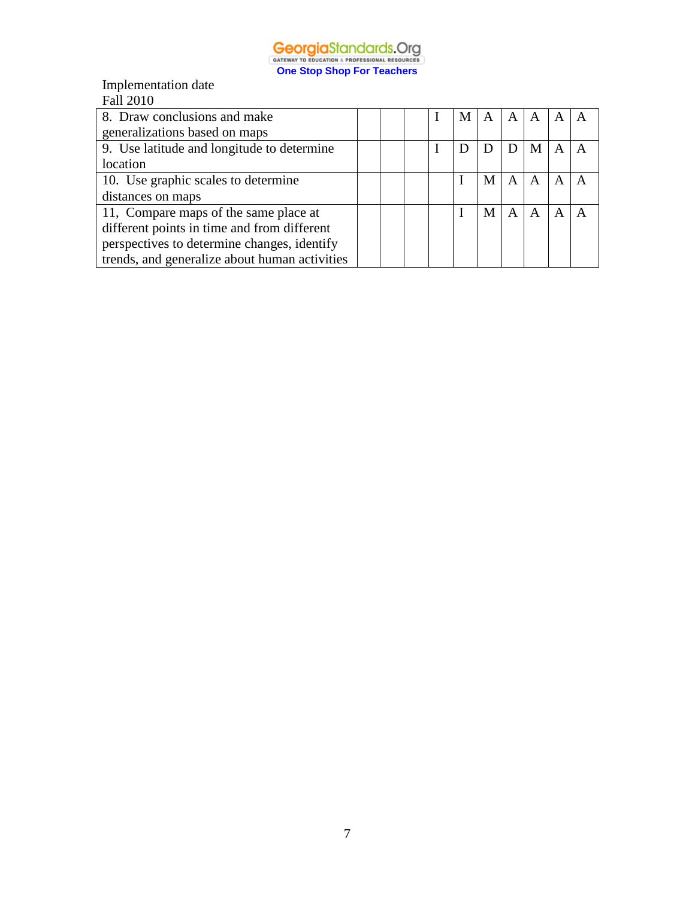

Implementation date

| <b>Fall 2010</b>                              |  |  |   |   |   |   |   |              |
|-----------------------------------------------|--|--|---|---|---|---|---|--------------|
| 8. Draw conclusions and make                  |  |  | М | A | A | A | A |              |
| generalizations based on maps                 |  |  |   |   |   |   |   |              |
| 9. Use latitude and longitude to determine    |  |  |   | D | D | M | A | $\mathsf{A}$ |
| location                                      |  |  |   |   |   |   |   |              |
| 10. Use graphic scales to determine           |  |  |   | M | A | A | A |              |
| distances on maps                             |  |  |   |   |   |   |   |              |
| 11, Compare maps of the same place at         |  |  |   | M | A |   | А |              |
| different points in time and from different   |  |  |   |   |   |   |   |              |
| perspectives to determine changes, identify   |  |  |   |   |   |   |   |              |
| trends, and generalize about human activities |  |  |   |   |   |   |   |              |